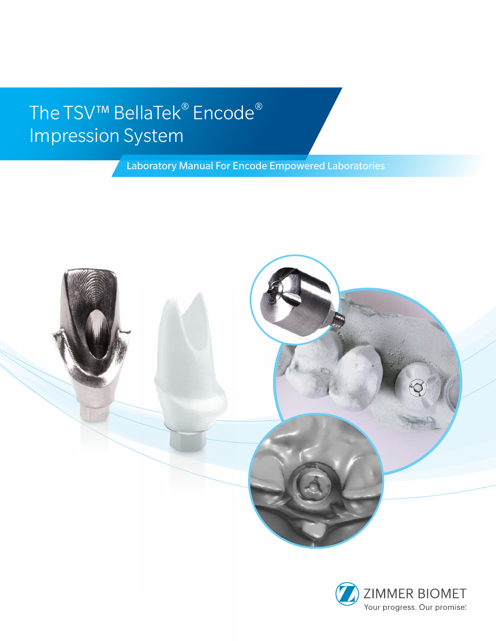# The TSV<sup>™</sup> BellaTek<sup>®</sup> Encode<sup>®</sup> Impression System

Laboratory Manual For Encode Empowered Laboratories



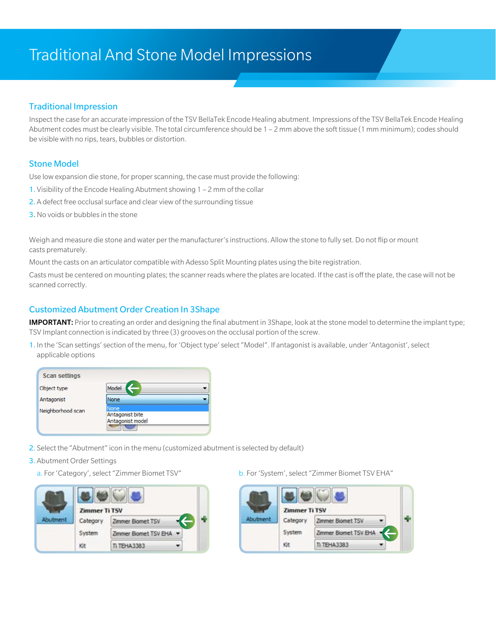### Traditional And Stone Model Impressions

#### Traditional Impression

Inspect the case for an accurate impression of the TSV BellaTek Encode Healing abutment. Impressions of the TSV BellaTek Encode Healing Abutment codes must be clearly visible. The total circumference should be 1 – 2 mm above the soft tissue (1 mm minimum); codes should be visible with no rips, tears, bubbles or distortion.

#### Stone Model

Use low expansion die stone, for proper scanning, the case must provide the following:

- 1. Visibility of the Encode Healing Abutment showing 1 2 mm of the collar
- 2. A defect free occlusal surface and clear view of the surrounding tissue
- 3. No voids or bubbles in the stone

Weigh and measure die stone and water per the manufacturer's instructions. Allow the stone to fully set. Do not flip or mount casts prematurely.

Mount the casts on an articulator compatible with Adesso Split Mounting plates using the bite registration.

Casts must be centered on mounting plates; the scanner reads where the plates are located. If the cast is off the plate, the case will not be scanned correctly.

#### Customized Abutment Order Creation In 3Shape

**IMPORTANT:** Prior to creating an order and designing the final abutment in 3Shape, look at the stone model to determine the implant type; TSV Implant connection is indicated by three (3) grooves on the occlusal portion of the screw.

1. In the 'Scan settings' section of the menu, for 'Object type' select "Model". If antagonist is available, under 'Antagonist', select applicable options

| <b>Scan settings</b> |                                     |  |
|----------------------|-------------------------------------|--|
| Object type          | Model                               |  |
| Antagonist           | None                                |  |
| Neighborhood scan    | Vone                                |  |
|                      | Antagonist bite<br>Antagonist model |  |

- 2. Select the "Abutment" icon in the menu (customized abutment is selected by default)
- 3. Abutment Order Settings
	-



a. For 'Category', select "Zimmer Biomet TSV" b. For 'System', select "Zimmer Biomet TSV EHA"

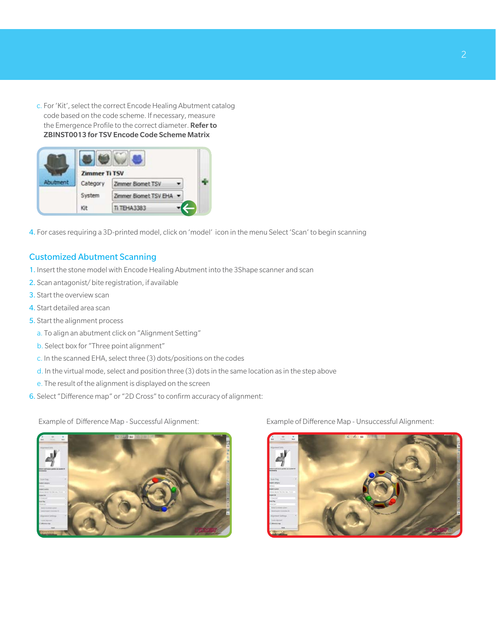c. For 'Kit', select the correct Encode Healing Abutment catalog code based on the code scheme. If necessary, measure the Emergence Profile to the correct diameter. Refer to ZBINST0013 for TSV Encode Code Scheme Matrix

| <b>Zimmer Ti TSV</b> |                         |  |
|----------------------|-------------------------|--|
| Category             | Zimmer Biomet TSV       |  |
| System               | Zimmer Biomet TSV EHA - |  |
| Kit                  | <b>TEHA3383</b>         |  |

4. For cases requiring a 3D-printed model, click on 'model' icon in the menu Select 'Scan' to begin scanning

#### Customized Abutment Scanning

- 1. Insert the stone model with Encode Healing Abutment into the 3Shape scanner and scan
- 2. Scan antagonist/ bite registration, if available
- 3. Start the overview scan
- 4. Start detailed area scan
- 5. Start the alignment process
	- a. To align an abutment click on "Alignment Setting"
	- b. Select box for "Three point alignment"
	- c. In the scanned EHA, select three (3) dots/positions on the codes
	- d. In the virtual mode, select and position three (3) dots in the same location as in the step above
	- e. The result of the alignment is displayed on the screen
- 6. Select "Difference map" or "2D Cross" to confirm accuracy of alignment:

Example of Difference Map - Successful Alignment: Example of Difference Map - Unsuccessful Alignment:



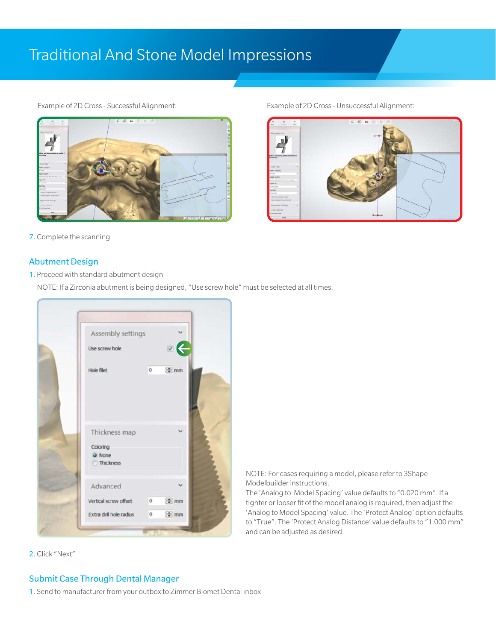### Traditional And Stone Model Impressions



7. Complete the scanning

#### Abutment Design

#### 1. Proceed with standard abutment design

NOTE: If a Zirconia abutment is being designed, "Use screw hole" must be selected at all times.

|                           | Assembly settings        |         |                 |
|---------------------------|--------------------------|---------|-----------------|
| Use screw hole            |                          |         | B               |
| Hole filet                |                          | $\circ$ | 图 mm            |
| Thickness map<br>Coloring |                          |         |                 |
| O None<br>Thickness       |                          |         |                 |
| Advanced                  |                          |         |                 |
|                           | Vertical screw offset 0  |         | 图 mm            |
|                           | Extra dril hole radius 0 |         | <sup>®</sup> mm |

2. Click "Next"

 NOTE: For cases requiring a model, please refer to 3Shape Modelbuilder instructions.

The 'Analog to Model Spacing' value defaults to "0.020 mm". If a tighter or looser fit of the model analog is required, then adjust the 'Analog to Model Spacing' value. The 'Protect Analog' option defaults to "True". The 'Protect Analog Distance' value defaults to "1.000 mm" and can be adjusted as desired.

#### Example of 2D Cross - Successful Alignment: Example of 2D Cross - Unsuccessful Alignment:



### Submit Case Through Dental Manager

1. Send to manufacturer from your outbox to Zimmer Biomet Dental inbox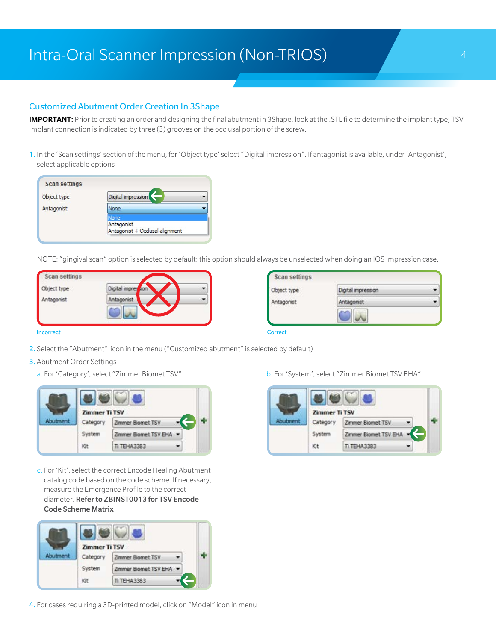### Intra-Oral Scanner Impression (Non-TRIOS) 1996 1997 1998

#### Customized Abutment Order Creation In 3Shape

IMPORTANT: Prior to creating an order and designing the final abutment in 3Shape, look at the .STL file to determine the implant type; TSV Implant connection is indicated by three (3) grooves on the occlusal portion of the screw.

1. In the 'Scan settings' section of the menu, for 'Object type' select "Digital impression". If antagonist is available, under 'Antagonist', select applicable options

| <b>Scan settings</b> |                                               |
|----------------------|-----------------------------------------------|
| Object type          | Digital impression                            |
| Antagonist           | None                                          |
|                      | None.                                         |
|                      | Antagonist<br>Antagonist + Occlusal alignment |

NOTE: "gingival scan" option is selected by default; this option should always be unselected when doing an IOS Impression case.

| Scan settings |                    |  |
|---------------|--------------------|--|
| Object type   | Digital impression |  |
| Antagonist    | Antagonist         |  |
|               |                    |  |
|               |                    |  |

| Object type | Digital impression |  |
|-------------|--------------------|--|
| Antagonist  | Antagonist         |  |

**Incorrect** Correct Correct Correct Correct Correct Correct Correct Correct Correct Correct Correct Correct Correct Correct Correct Correct Correct Correct Correct Correct Correct Correct Correct Correct Correct Correct Co

- 2. Select the "Abutment" icon in the menu ("Customized abutment" is selected by default)
- 3. Abutment Order Settings
	-

|        | <b>Zimmer Ti TSV</b> |                         |  |  |
|--------|----------------------|-------------------------|--|--|
| utment | Category             | Zimmer Biomet TSV       |  |  |
|        | System               | Zimmer Biomet TSV EHA - |  |  |
|        | Kit                  | <b>TEHA3383</b>         |  |  |

c. For 'Kit', select the correct Encode Healing Abutment catalog code based on the code scheme. If necessary, measure the Emergence Profile to the correct diameter. Refer to ZBINST0013 for TSV Encode Code Scheme Matrix



4. For cases requiring a 3D-printed model, click on "Model" icon in menu

a. For 'Category', select "Zimmer Biomet TSV" b. For 'System', select "Zimmer Biomet TSV EHA"

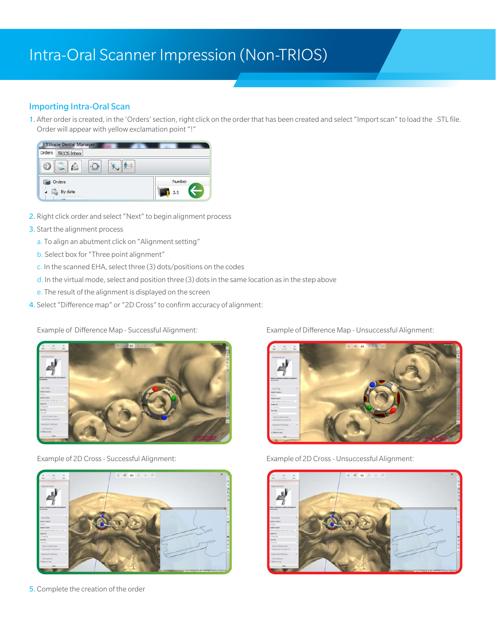### Intra-Oral Scanner Impression (Non-TRIOS)

#### Importing Intra-Oral Scan

1. After order is created, in the 'Orders' section, right click on the order that has been created and select "Import scan" to load the .STL file. Order will appear with yellow exclamation point "!"



- 2. Right click order and select "Next" to begin alignment process
- 3. Start the alignment process
	- a. To align an abutment click on "Alignment setting"
	- b. Select box for "Three point alignment"
	- c. In the scanned EHA, select three (3) dots/positions on the codes
	- d. In the virtual mode, select and position three (3) dots in the same location as in the step above
	- e. The result of the alignment is displayed on the screen
- 4. Select "Difference map" or "2D Cross" to confirm accuracy of alignment:





5. Complete the creation of the order

Example of Difference Map - Successful Alignment: Example of Difference Map - Unsuccessful Alignment:



Example of 2D Cross - Successful Alignment: Example of 2D Cross - Unsuccessful Alignment:

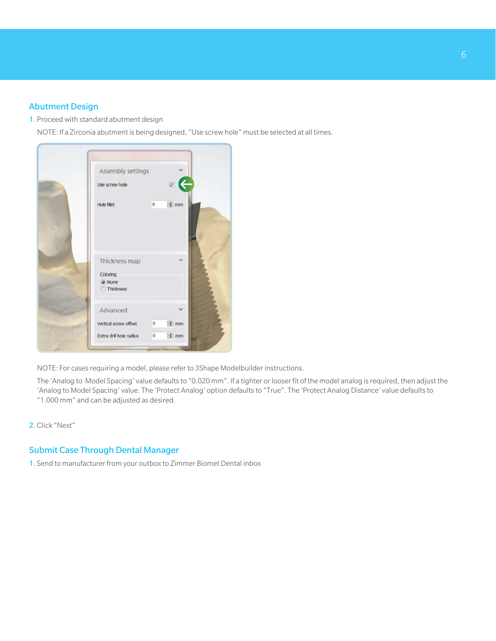#### Abutment Design

1. Proceed with standard abutment design

NOTE: If a Zirconia abutment is being designed, "Use screw hole" must be selected at all times.



NOTE: For cases requiring a model, please refer to 3Shape Modelbuilder instructions.

 The 'Analog to Model Spacing' value defaults to "0.020 mm". If a tighter or looser fit of the model analog is required, then adjust the 'Analog to Model Spacing' value. The 'Protect Analog' option defaults to "True". The 'Protect Analog Distance' value defaults to "1.000 mm" and can be adjusted as desired.

2. Click "Next"

#### Submit Case Through Dental Manager

1. Send to manufacturer from your outbox to Zimmer Biomet Dental inbox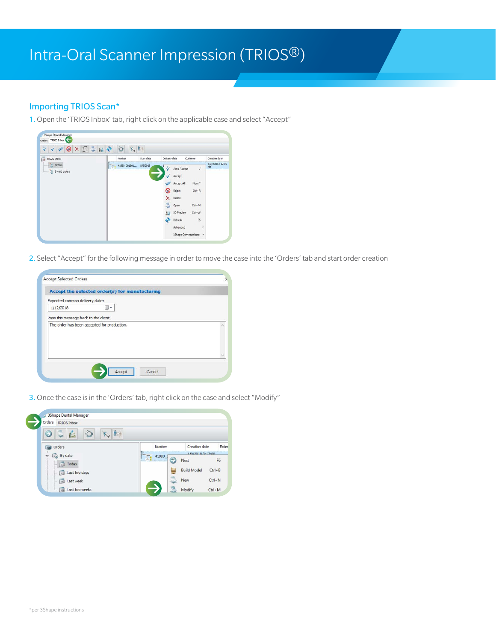## Intra-Oral Scanner Impression (TRIOS®)

#### Importing TRIOS Scan\*

1.Open the 'TRIOS Inbox' tab, right click on the applicable case and select "Accept"



2. Select "Accept" for the following message in order to move the case into the 'Orders' tab and start order creation

| Accept the selected order(s) for manufacturing |  |
|------------------------------------------------|--|
| Expected common delivery date:                 |  |
| 1/12/2018                                      |  |
| Pass this message back to the client           |  |
| The order has been accepted for production.    |  |
|                                                |  |
|                                                |  |
|                                                |  |
|                                                |  |

3.Once the case is in the 'Orders' tab, right click on the case and select "Modify"

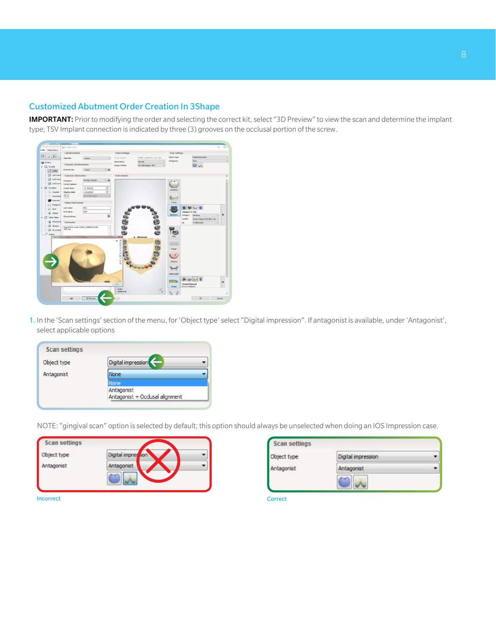#### Customized Abutment Order Creation In 3Shape

IMPORTANT: Prior to modifying the order and selecting the correct kit, select "3D Preview" to view the scan and determine the implant type; TSV Implant connection is indicated by three (3) grooves on the occlusal portion of the screw.

| bders Bight Johns             | <b>Lab</b> information          |                                       | Order settings           |                         | <b>Scon settings</b>        |                                                 |
|-------------------------------|---------------------------------|---------------------------------------|--------------------------|-------------------------|-----------------------------|-------------------------------------------------|
| $\Box$<br>$\circ$             | Operator:                       | crore's                               | Orier hunters:<br>$\sim$ | 42000 20100129 1517 001 | <b>Closed fupe</b>          | Diptat expression                               |
| Gas Orders                    |                                 |                                       | Importance:              | Normal                  | <b>Anlagement</b>           | <b>Norie</b>                                    |
| $v$ . $U_{ik}$ . By define    | <b>External Lab Information</b> |                                       | Design Hodule:           | DentsCesquer 2017       |                             | $\omega_{\rm w}$                                |
| <b>D</b> Today                | External Lab:                   | $-$ none $-$<br>$-4$                  |                          |                         |                             |                                                 |
| <b>Ed Lettred</b>             | Customer information            |                                       | Order details            |                         |                             |                                                 |
| G Last week                   |                                 | 20 KBD Clinican                       |                          |                         |                             |                                                 |
| Go Last two x                 | Customers<br>Contact person:    | 少年                                    |                          |                         |                             |                                                 |
| $v$ . $Q$ is status           | Create date:                    | $\overline{u}$<br><b>M</b> 6/2016     |                          |                         |                             |                                                 |
| $\supset$ Osaled              | Shipping date:                  | $\frac{1}{2}$<br><b>SISSIPES</b>      |                          |                         | Anah                        |                                                 |
| "T. Scarmed (                 | $\tau_{\left[0\right]}$         | Send information                      |                          |                         |                             |                                                 |
| <b>B</b> Scarred              |                                 |                                       |                          |                         |                             |                                                 |
| c) Desgred                    | <b>Patient information</b>      |                                       |                          |                         | Frank                       |                                                 |
| $\frac{1}{2}$ Sere            | Liabili Hamer:                  | 001                                   |                          |                         |                             |                                                 |
| 2 Closed                      | First name:                     | Test                                  |                          |                         |                             | <b>Zimmey 11 198</b>                            |
| $v$ $\Box$ Other Blars        | Cirical photos:                 |                                       |                          |                         |                             | Cetegery<br>AD chemic                           |
|                               |                                 |                                       |                          | <b>6699</b>             |                             | <b>System</b><br>Zinner Blanet TSI (214) Ala 14 |
| on Checked a                  | Comments                        |                                       |                          |                         |                             | T. TEPA 1983<br>star.<br>٠                      |
| GE All open                   | 399, 42                         | Copied Rom order \$3325, 150806171728 | ۰                        |                         |                             |                                                 |
| (15 Myracand)                 |                                 |                                       |                          |                         |                             |                                                 |
| $ P$ sawn<br>Cirac Disabelast |                                 |                                       |                          | Abutmont                |                             |                                                 |
|                               |                                 |                                       |                          | <b>Baa</b>              |                             |                                                 |
|                               |                                 |                                       | s                        |                         | <b>SANCE</b>                |                                                 |
|                               |                                 |                                       | <b>SERGERSHE</b><br>ŧ    |                         | <b>Bridge</b>               |                                                 |
|                               |                                 |                                       |                          |                         |                             |                                                 |
|                               |                                 |                                       | င့်                      |                         |                             |                                                 |
|                               |                                 |                                       |                          |                         |                             |                                                 |
|                               |                                 |                                       |                          |                         |                             |                                                 |
|                               |                                 |                                       |                          | -66                     |                             |                                                 |
|                               |                                 |                                       |                          |                         | <b>Exercise</b>             |                                                 |
|                               |                                 |                                       |                          |                         |                             |                                                 |
|                               |                                 |                                       |                          |                         | <b><i><u>ANTHER</u></i></b> | <b>Model Material</b>                           |
|                               |                                 |                                       | cine.                    |                         | <b>Mode</b>                 | Draw Feldfard                                   |
|                               |                                 |                                       | 2xter:                   |                         |                             |                                                 |
|                               | ×                               |                                       | <b>Additional</b>        | ň.                      |                             |                                                 |

1. In the 'Scan settings' section of the menu, for 'Object type' select "Digital impression". If antagonist is available, under 'Antagonist', select applicable options

| <b>Scan settings</b> |                                               |
|----------------------|-----------------------------------------------|
| Object type          | Digital impression                            |
| Antagonist           | None                                          |
|                      | None                                          |
|                      | Antagonist<br>Antagonist + Occlusal alignment |

NOTE: "gingival scan" option is selected by default; this option should always be unselected when doing an IOS Impression case.

| Object type | Digital impression |  |
|-------------|--------------------|--|
| Antagonist  | Antagonist         |  |

| Antagonist<br>Antagonist |  |
|--------------------------|--|

**Incorrect Correct Correct Correct** Correct Correct Correct Correct Correct Correct Correct Correct Correct Correct Correct Correct Correct Correct Correct Correct Correct Correct Correct Correct Correct Correct Correct Co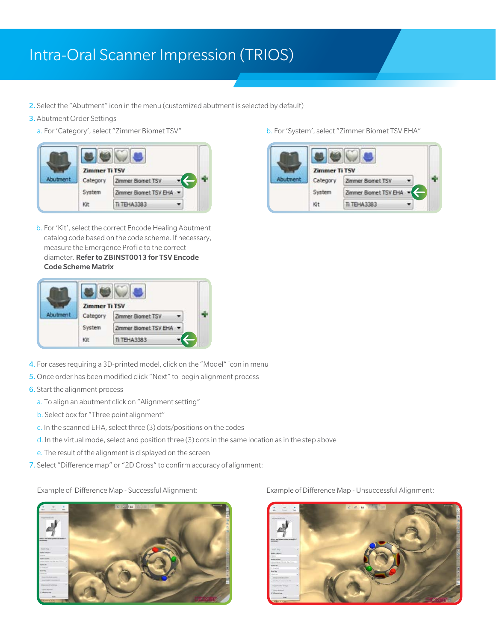### Intra-Oral Scanner Impression (TRIOS)

- 2. Select the "Abutment" icon in the menu (customized abutment is selected by default)
- 3. Abutment Order Settings
	- a. For 'Category', select "Zimmer Biomet TSV" b. For 'System', select "Zimmer Biomet TSV EHA"



b. For 'Kit', select the correct Encode Healing Abutment catalog code based on the code scheme. If necessary, measure the Emergence Profile to the correct diameter. Refer to ZBINST0013 for TSV Encode Code Scheme Matrix



- 4. For cases requiring a 3D-printed model, click on the "Model" icon in menu
- 5.Once order has been modified click "Next" to begin alignment process
- 6. Start the alignment process
	- a. To align an abutment click on "Alignment setting"
	- b. Select box for "Three point alignment"
	- c. In the scanned EHA, select three (3) dots/positions on the codes
	- d. In the virtual mode, select and position three (3) dots in the same location as in the step above
	- e. The result of the alignment is displayed on the screen
- 7. Select "Difference map" or "2D Cross" to confirm accuracy of alignment:





Example of Difference Map - Successful Alignment: Example of Difference Map - Unsuccessful Alignment:

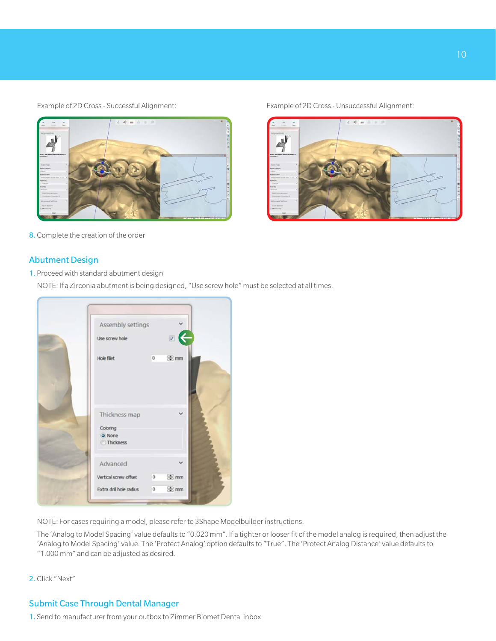

8. Complete the creation of the order

#### Abutment Design

1. Proceed with standard abutment design

NOTE: If a Zirconia abutment is being designed, "Use screw hole" must be selected at all times.



NOTE: For cases requiring a model, please refer to 3Shape Modelbuilder instructions.

 The 'Analog to Model Spacing' value defaults to "0.020 mm". If a tighter or looser fit of the model analog is required, then adjust the 'Analog to Model Spacing' value. The 'Protect Analog' option defaults to "True". The 'Protect Analog Distance' value defaults to "1.000 mm" and can be adjusted as desired.

2. Click "Next"

### Submit Case Through Dental Manager

1. Send to manufacturer from your outbox to Zimmer Biomet Dental inbox

Example of 2D Cross - Successful Alignment: Example of 2D Cross - Unsuccessful Alignment: